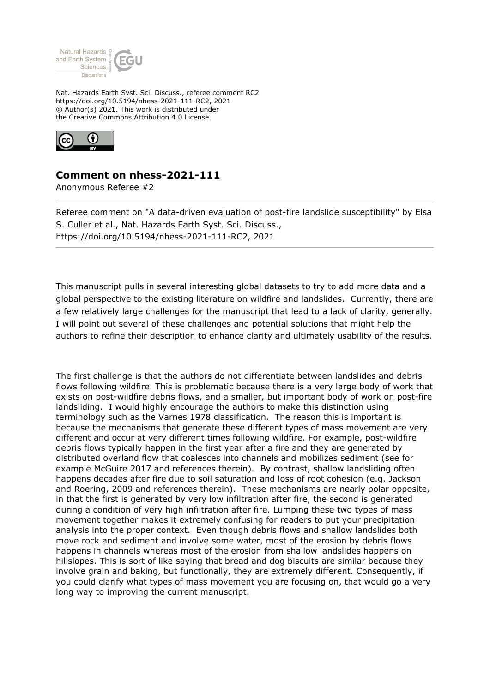

Nat. Hazards Earth Syst. Sci. Discuss., referee comment RC2 https://doi.org/10.5194/nhess-2021-111-RC2, 2021 © Author(s) 2021. This work is distributed under the Creative Commons Attribution 4.0 License.



## **Comment on nhess-2021-111**

Anonymous Referee #2

Referee comment on "A data-driven evaluation of post-fire landslide susceptibility" by Elsa S. Culler et al., Nat. Hazards Earth Syst. Sci. Discuss., https://doi.org/10.5194/nhess-2021-111-RC2, 2021

This manuscript pulls in several interesting global datasets to try to add more data and a global perspective to the existing literature on wildfire and landslides. Currently, there are a few relatively large challenges for the manuscript that lead to a lack of clarity, generally. I will point out several of these challenges and potential solutions that might help the authors to refine their description to enhance clarity and ultimately usability of the results.

The first challenge is that the authors do not differentiate between landslides and debris flows following wildfire. This is problematic because there is a very large body of work that exists on post-wildfire debris flows, and a smaller, but important body of work on post-fire landsliding. I would highly encourage the authors to make this distinction using terminology such as the Varnes 1978 classification. The reason this is important is because the mechanisms that generate these different types of mass movement are very different and occur at very different times following wildfire. For example, post-wildfire debris flows typically happen in the first year after a fire and they are generated by distributed overland flow that coalesces into channels and mobilizes sediment (see for example McGuire 2017 and references therein). By contrast, shallow landsliding often happens decades after fire due to soil saturation and loss of root cohesion (e.g. Jackson and Roering, 2009 and references therein). These mechanisms are nearly polar opposite, in that the first is generated by very low infiltration after fire, the second is generated during a condition of very high infiltration after fire. Lumping these two types of mass movement together makes it extremely confusing for readers to put your precipitation analysis into the proper context. Even though debris flows and shallow landslides both move rock and sediment and involve some water, most of the erosion by debris flows happens in channels whereas most of the erosion from shallow landslides happens on hillslopes. This is sort of like saying that bread and dog biscuits are similar because they involve grain and baking, but functionally, they are extremely different. Consequently, if you could clarify what types of mass movement you are focusing on, that would go a very long way to improving the current manuscript.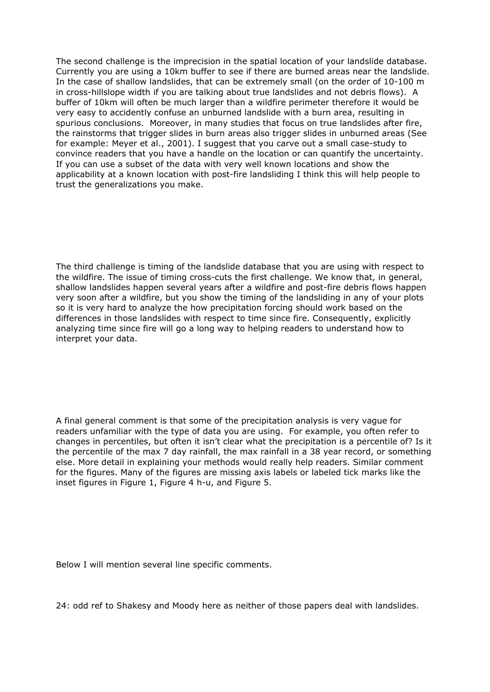The second challenge is the imprecision in the spatial location of your landslide database. Currently you are using a 10km buffer to see if there are burned areas near the landslide. In the case of shallow landslides, that can be extremely small (on the order of 10-100 m in cross-hillslope width if you are talking about true landslides and not debris flows). A buffer of 10km will often be much larger than a wildfire perimeter therefore it would be very easy to accidently confuse an unburned landslide with a burn area, resulting in spurious conclusions. Moreover, in many studies that focus on true landslides after fire, the rainstorms that trigger slides in burn areas also trigger slides in unburned areas (See for example: Meyer et al., 2001). I suggest that you carve out a small case-study to convince readers that you have a handle on the location or can quantify the uncertainty. If you can use a subset of the data with very well known locations and show the applicability at a known location with post-fire landsliding I think this will help people to trust the generalizations you make.

The third challenge is timing of the landslide database that you are using with respect to the wildfire. The issue of timing cross-cuts the first challenge. We know that, in general, shallow landslides happen several years after a wildfire and post-fire debris flows happen very soon after a wildfire, but you show the timing of the landsliding in any of your plots so it is very hard to analyze the how precipitation forcing should work based on the differences in those landslides with respect to time since fire. Consequently, explicitly analyzing time since fire will go a long way to helping readers to understand how to interpret your data.

A final general comment is that some of the precipitation analysis is very vague for readers unfamiliar with the type of data you are using. For example, you often refer to changes in percentiles, but often it isn't clear what the precipitation is a percentile of? Is it the percentile of the max 7 day rainfall, the max rainfall in a 38 year record, or something else. More detail in explaining your methods would really help readers. Similar comment for the figures. Many of the figures are missing axis labels or labeled tick marks like the inset figures in Figure 1, Figure 4 h-u, and Figure 5.

Below I will mention several line specific comments.

24: odd ref to Shakesy and Moody here as neither of those papers deal with landslides.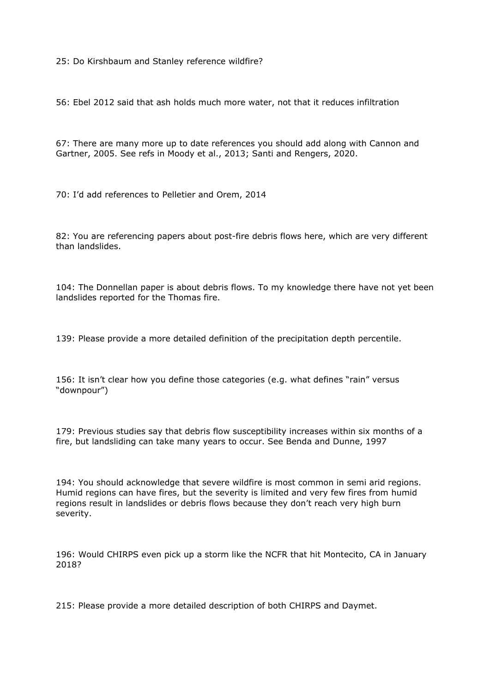25: Do Kirshbaum and Stanley reference wildfire?

56: Ebel 2012 said that ash holds much more water, not that it reduces infiltration

67: There are many more up to date references you should add along with Cannon and Gartner, 2005. See refs in Moody et al., 2013; Santi and Rengers, 2020.

70: I'd add references to Pelletier and Orem, 2014

82: You are referencing papers about post-fire debris flows here, which are very different than landslides.

104: The Donnellan paper is about debris flows. To my knowledge there have not yet been landslides reported for the Thomas fire.

139: Please provide a more detailed definition of the precipitation depth percentile.

156: It isn't clear how you define those categories (e.g. what defines "rain" versus "downpour")

179: Previous studies say that debris flow susceptibility increases within six months of a fire, but landsliding can take many years to occur. See Benda and Dunne, 1997

194: You should acknowledge that severe wildfire is most common in semi arid regions. Humid regions can have fires, but the severity is limited and very few fires from humid regions result in landslides or debris flows because they don't reach very high burn severity.

196: Would CHIRPS even pick up a storm like the NCFR that hit Montecito, CA in January 2018?

215: Please provide a more detailed description of both CHIRPS and Daymet.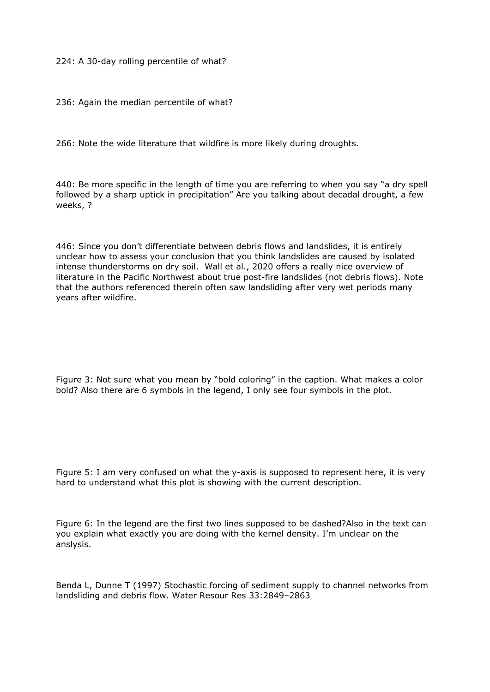224: A 30-day rolling percentile of what?

236: Again the median percentile of what?

266: Note the wide literature that wildfire is more likely during droughts.

440: Be more specific in the length of time you are referring to when you say "a dry spell followed by a sharp uptick in precipitation" Are you talking about decadal drought, a few weeks, ?

446: Since you don't differentiate between debris flows and landslides, it is entirely unclear how to assess your conclusion that you think landslides are caused by isolated intense thunderstorms on dry soil. Wall et al., 2020 offers a really nice overview of literature in the Pacific Northwest about true post-fire landslides (not debris flows). Note that the authors referenced therein often saw landsliding after very wet periods many years after wildfire.

Figure 3: Not sure what you mean by "bold coloring" in the caption. What makes a color bold? Also there are 6 symbols in the legend, I only see four symbols in the plot.

Figure 5: I am very confused on what the y-axis is supposed to represent here, it is very hard to understand what this plot is showing with the current description.

Figure 6: In the legend are the first two lines supposed to be dashed?Also in the text can you explain what exactly you are doing with the kernel density. I'm unclear on the anslysis.

Benda L, Dunne T (1997) Stochastic forcing of sediment supply to channel networks from landsliding and debris flow. Water Resour Res 33:2849–2863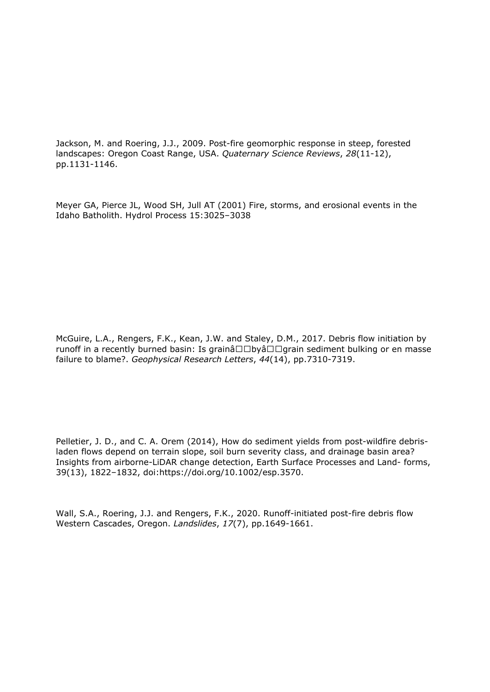Jackson, M. and Roering, J.J., 2009. Post-fire geomorphic response in steep, forested landscapes: Oregon Coast Range, USA. *Quaternary Science Reviews*, *28*(11-12), pp.1131-1146.

Meyer GA, Pierce JL, Wood SH, Jull AT (2001) Fire, storms, and erosional events in the Idaho Batholith. Hydrol Process 15:3025–3038

McGuire, L.A., Rengers, F.K., Kean, J.W. and Staley, D.M., 2017. Debris flow initiation by runoff in a recently burned basin: Is grainâ $\square\square$ byâ $\square\square$ grain sediment bulking or en masse failure to blame?. *Geophysical Research Letters*, *44*(14), pp.7310-7319.

Pelletier, J. D., and C. A. Orem (2014), How do sediment yields from post-wildfire debrisladen flows depend on terrain slope, soil burn severity class, and drainage basin area? Insights from airborne-LiDAR change detection, Earth Surface Processes and Land- forms, 39(13), 1822–1832, doi:https://doi.org/10.1002/esp.3570.

Wall, S.A., Roering, J.J. and Rengers, F.K., 2020. Runoff-initiated post-fire debris flow Western Cascades, Oregon. *Landslides*, *17*(7), pp.1649-1661.